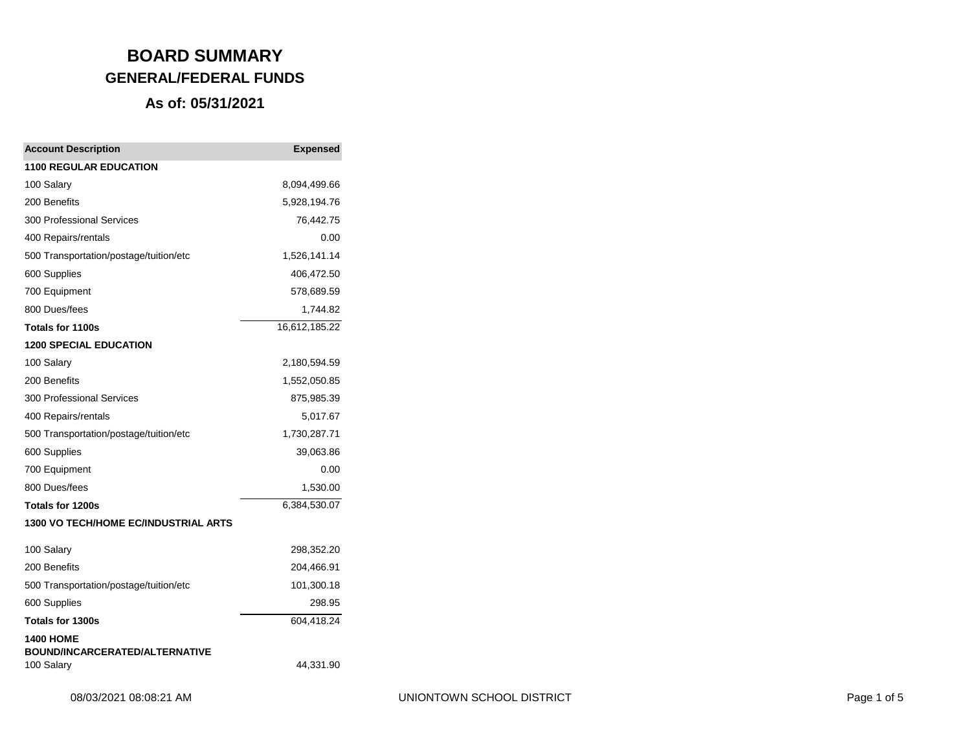| <b>Account Description</b>                          | <b>Expensed</b> |
|-----------------------------------------------------|-----------------|
| <b>1100 REGULAR EDUCATION</b>                       |                 |
| 100 Salary                                          | 8,094,499.66    |
| 200 Benefits                                        | 5,928,194.76    |
| <b>300 Professional Services</b>                    | 76,442.75       |
| 400 Repairs/rentals                                 | 0.00            |
| 500 Transportation/postage/tuition/etc              | 1,526,141.14    |
| 600 Supplies                                        | 406,472.50      |
| 700 Equipment                                       | 578,689.59      |
| 800 Dues/fees                                       | 1,744.82        |
| Totals for 1100s                                    | 16,612,185.22   |
| <b>1200 SPECIAL EDUCATION</b>                       |                 |
| 100 Salary                                          | 2,180,594.59    |
| 200 Benefits                                        | 1,552,050.85    |
| <b>300 Professional Services</b>                    | 875,985.39      |
| 400 Repairs/rentals                                 | 5,017.67        |
| 500 Transportation/postage/tuition/etc              | 1,730,287.71    |
| 600 Supplies                                        | 39,063.86       |
| 700 Equipment                                       | 0.00            |
| 800 Dues/fees                                       | 1,530.00        |
| Totals for 1200s                                    | 6,384,530.07    |
| <b>1300 VO TECH/HOME EC/INDUSTRIAL ARTS</b>         |                 |
| 100 Salary                                          | 298,352.20      |
| 200 Benefits                                        | 204,466.91      |
| 500 Transportation/postage/tuition/etc              | 101,300.18      |
| 600 Supplies                                        | 298.95          |
| Totals for 1300s                                    | 604,418.24      |
| <b>1400 HOME</b>                                    |                 |
| <b>BOUND/INCARCERATED/ALTERNATIVE</b><br>100 Salary | 44,331.90       |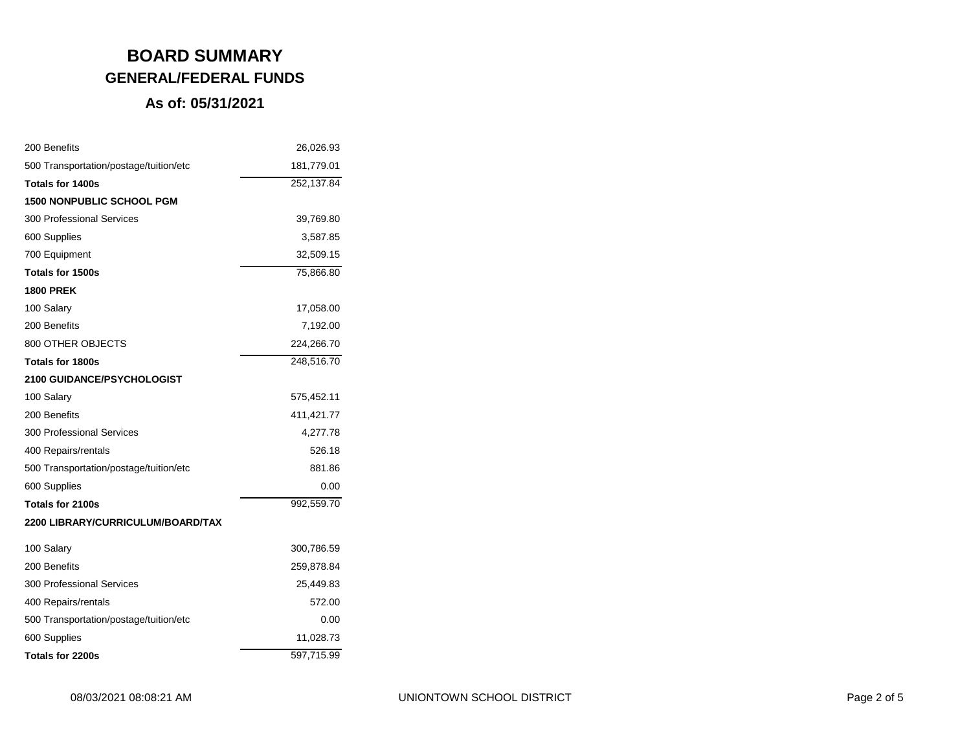| 200 Benefits                           | 26,026.93  |
|----------------------------------------|------------|
| 500 Transportation/postage/tuition/etc | 181,779.01 |
| Totals for 1400s                       | 252,137.84 |
| <b>1500 NONPUBLIC SCHOOL PGM</b>       |            |
| <b>300 Professional Services</b>       | 39,769.80  |
| 600 Supplies                           | 3,587.85   |
| 700 Equipment                          | 32,509.15  |
| Totals for 1500s                       | 75,866.80  |
| <b>1800 PREK</b>                       |            |
| 100 Salary                             | 17,058.00  |
| 200 Benefits                           | 7,192.00   |
| 800 OTHER OBJECTS                      | 224,266.70 |
| Totals for 1800s                       | 248,516.70 |
| <b>2100 GUIDANCE/PSYCHOLOGIST</b>      |            |
| 100 Salary                             | 575,452.11 |
| 200 Benefits                           | 411,421.77 |
| <b>300 Professional Services</b>       | 4,277.78   |
| 400 Repairs/rentals                    | 526.18     |
| 500 Transportation/postage/tuition/etc | 881.86     |
| 600 Supplies                           | 0.00       |
| Totals for 2100s                       | 992,559.70 |
| 2200 LIBRARY/CURRICULUM/BOARD/TAX      |            |
| 100 Salary                             | 300,786.59 |
| 200 Benefits                           | 259,878.84 |
| <b>300 Professional Services</b>       | 25,449.83  |
| 400 Repairs/rentals                    | 572.00     |
| 500 Transportation/postage/tuition/etc | 0.00       |
| 600 Supplies                           | 11,028.73  |
| Totals for 2200s                       | 597,715.99 |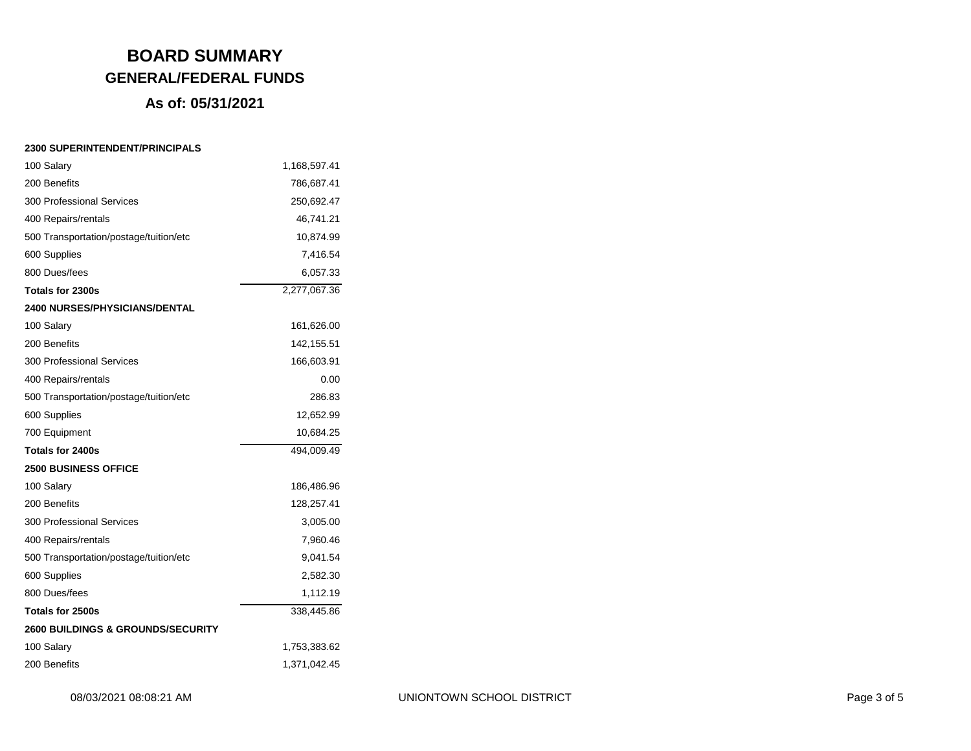### **As of: 05/31/2021**

#### **2300 SUPERINTENDENT/PRINCIPALS**

| 100 Salary                                   | 1,168,597.41 |
|----------------------------------------------|--------------|
| 200 Benefits                                 | 786,687.41   |
| 300 Professional Services                    | 250,692.47   |
| 400 Repairs/rentals                          | 46,741.21    |
| 500 Transportation/postage/tuition/etc       | 10,874.99    |
| 600 Supplies                                 | 7,416.54     |
| 800 Dues/fees                                | 6,057.33     |
| Totals for 2300s                             | 2,277,067.36 |
| <b>2400 NURSES/PHYSICIANS/DENTAL</b>         |              |
| 100 Salary                                   | 161,626.00   |
| 200 Benefits                                 | 142,155.51   |
| 300 Professional Services                    | 166,603.91   |
| 400 Repairs/rentals                          | 0.00         |
| 500 Transportation/postage/tuition/etc       | 286.83       |
| 600 Supplies                                 | 12,652.99    |
| 700 Equipment                                | 10,684.25    |
| Totals for 2400s                             | 494,009.49   |
| <b>2500 BUSINESS OFFICE</b>                  |              |
| 100 Salary                                   | 186,486.96   |
| 200 Benefits                                 | 128,257.41   |
| 300 Professional Services                    | 3,005.00     |
| 400 Repairs/rentals                          | 7,960.46     |
| 500 Transportation/postage/tuition/etc       | 9,041.54     |
| 600 Supplies                                 | 2,582.30     |
| 800 Dues/fees                                | 1,112.19     |
| Totals for 2500s                             | 338,445.86   |
| <b>2600 BUILDINGS &amp; GROUNDS/SECURITY</b> |              |
| 100 Salary                                   | 1,753,383.62 |
| 200 Benefits                                 | 1,371,042.45 |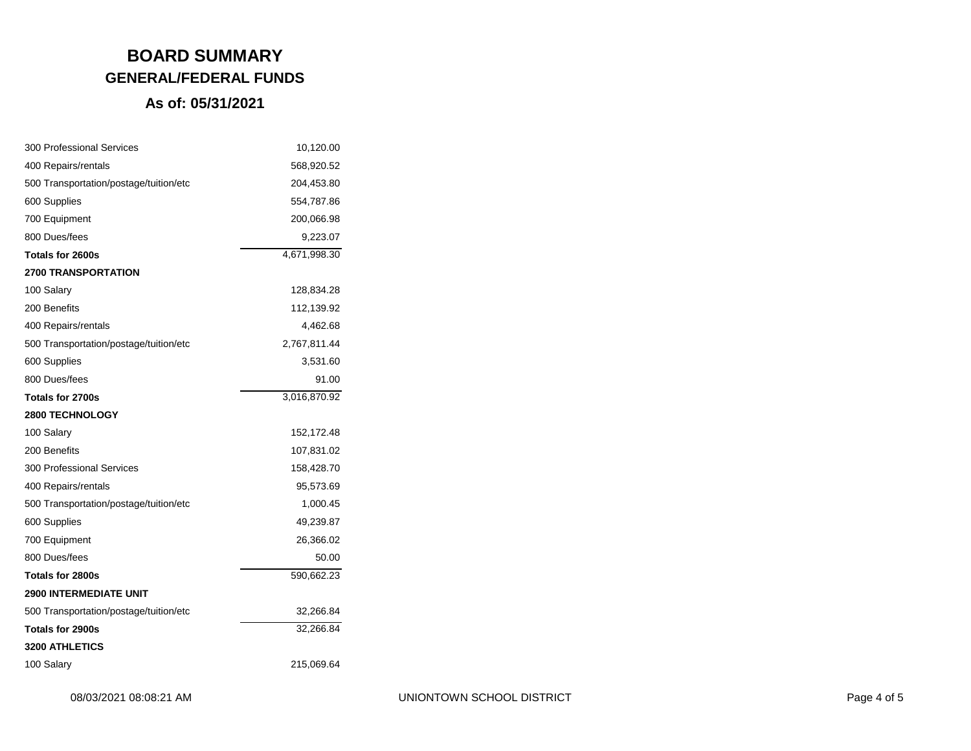| 300 Professional Services              | 10,120.00    |
|----------------------------------------|--------------|
| 400 Repairs/rentals                    | 568,920.52   |
| 500 Transportation/postage/tuition/etc | 204,453.80   |
| 600 Supplies                           | 554,787.86   |
| 700 Equipment                          | 200,066.98   |
| 800 Dues/fees                          | 9,223.07     |
| Totals for 2600s                       | 4,671,998.30 |
| <b>2700 TRANSPORTATION</b>             |              |
| 100 Salary                             | 128,834.28   |
| 200 Benefits                           | 112,139.92   |
| 400 Repairs/rentals                    | 4,462.68     |
| 500 Transportation/postage/tuition/etc | 2,767,811.44 |
| 600 Supplies                           | 3,531.60     |
| 800 Dues/fees                          | 91.00        |
| Totals for 2700s                       | 3,016,870.92 |
| <b>2800 TECHNOLOGY</b>                 |              |
| 100 Salary                             | 152,172.48   |
| 200 Benefits                           | 107,831.02   |
| <b>300 Professional Services</b>       | 158,428.70   |
| 400 Repairs/rentals                    | 95,573.69    |
| 500 Transportation/postage/tuition/etc | 1,000.45     |
| 600 Supplies                           | 49,239.87    |
| 700 Equipment                          | 26,366.02    |
| 800 Dues/fees                          | 50.00        |
| Totals for 2800s                       | 590,662.23   |
| <b>2900 INTERMEDIATE UNIT</b>          |              |
| 500 Transportation/postage/tuition/etc | 32,266.84    |
| Totals for 2900s                       | 32,266.84    |
| <b>3200 ATHLETICS</b>                  |              |
| 100 Salary                             | 215,069.64   |
|                                        |              |